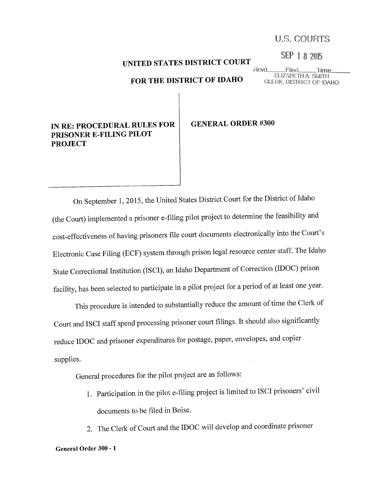# U.S. COURTS

SEP 1 8 2015

# UNITED STATES DISTRICT COURT

### FOR THE DISTRICT OF IDAHO

Rcvd\_ Filed. Time. ELIZABETH A. SMITH CLERK, DISTRICT OF IDAHO

# IN RE: PROCEDURAL RULES FOR PRISONER E-FILING PILOT **PROJECT**

#### **GENERAL ORDER #300**

On September 1, 2015, the United States District Court for the District of Idaho (the Court) implemented a prisoner e-filing pilot project to determine the feasibility and cost-effectiveness of having prisoners file court documents electronically into the Court's Electronic Case Filing (ECF) system through prison legal resource center staff. The Idaho State Correctional Institution (ISCI), an Idaho Department of Correction (IDOC) prison facility, has been selected to participate in a pilot project for a period of at least one year.

This procedure is intended to substantially reduce the amount of time the Clerk of Court and ISCI staff spend processing prisoner court filings. It should also significantly reduce IDOC and prisoner expenditures for postage, paper, envelopes, and copier supplies.

General procedures for the pilot project are as follows:

- 1. Participation in the pilot e-filing project is limited to ISCI prisoners' civil documents to be filed in Boise.
- 2. The Clerk of Court and the IDOC will develop and coordinate prisoner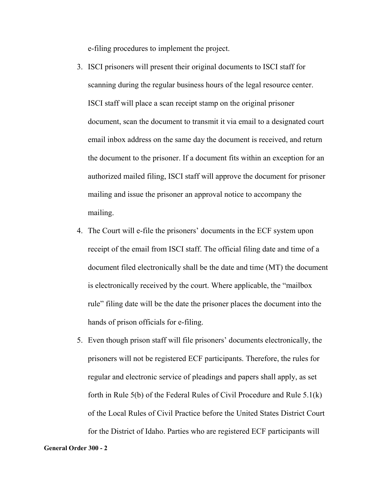e-filing procedures to implement the project.

- 3. ISCI prisoners will present their original documents to ISCI staff for scanning during the regular business hours of the legal resource center. ISCI staff will place a scan receipt stamp on the original prisoner document, scan the document to transmit it via email to a designated court email inbox address on the same day the document is received, and return the document to the prisoner. If a document fits within an exception for an authorized mailed filing, ISCI staff will approve the document for prisoner mailing and issue the prisoner an approval notice to accompany the mailing.
- 4. The Court will e-file the prisoners' documents in the ECF system upon receipt of the email from ISCI staff. The official filing date and time of a document filed electronically shall be the date and time (MT) the document is electronically received by the court. Where applicable, the "mailbox rule" filing date will be the date the prisoner places the document into the hands of prison officials for e-filing.
- 5. Even though prison staff will file prisoners' documents electronically, the prisoners will not be registered ECF participants. Therefore, the rules for regular and electronic service of pleadings and papers shall apply, as set forth in Rule 5(b) of the Federal Rules of Civil Procedure and Rule 5.1(k) of the Local Rules of Civil Practice before the United States District Court for the District of Idaho. Parties who are registered ECF participants will